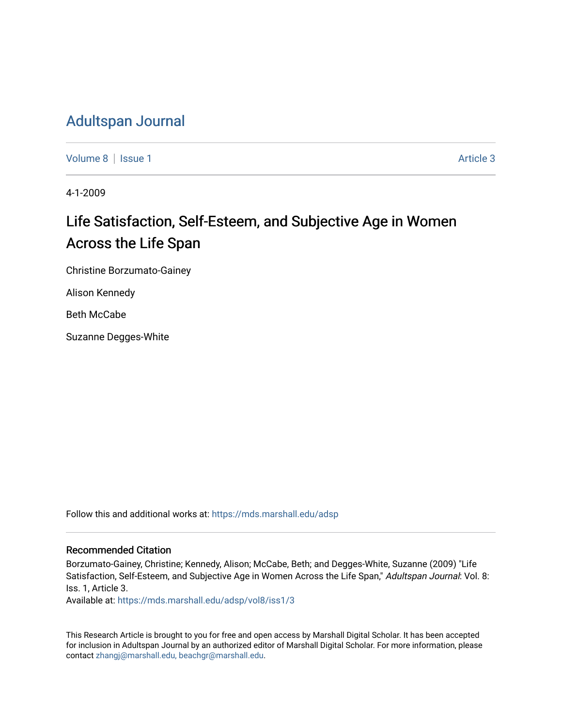# [Adultspan Journal](https://mds.marshall.edu/adsp)

[Volume 8](https://mds.marshall.edu/adsp/vol8) | [Issue 1](https://mds.marshall.edu/adsp/vol8/iss1) Article 3

4-1-2009

# Life Satisfaction, Self-Esteem, and Subjective Age in Women Across the Life Span

Christine Borzumato-Gainey

Alison Kennedy

Beth McCabe

Suzanne Degges-White

Follow this and additional works at: [https://mds.marshall.edu/adsp](https://mds.marshall.edu/adsp?utm_source=mds.marshall.edu%2Fadsp%2Fvol8%2Fiss1%2F3&utm_medium=PDF&utm_campaign=PDFCoverPages) 

# Recommended Citation

Borzumato-Gainey, Christine; Kennedy, Alison; McCabe, Beth; and Degges-White, Suzanne (2009) "Life Satisfaction, Self-Esteem, and Subjective Age in Women Across the Life Span," Adultspan Journal: Vol. 8: Iss. 1, Article 3.

Available at: [https://mds.marshall.edu/adsp/vol8/iss1/3](https://mds.marshall.edu/adsp/vol8/iss1/3?utm_source=mds.marshall.edu%2Fadsp%2Fvol8%2Fiss1%2F3&utm_medium=PDF&utm_campaign=PDFCoverPages)

This Research Article is brought to you for free and open access by Marshall Digital Scholar. It has been accepted for inclusion in Adultspan Journal by an authorized editor of Marshall Digital Scholar. For more information, please contact [zhangj@marshall.edu, beachgr@marshall.edu](mailto:zhangj@marshall.edu,%20beachgr@marshall.edu).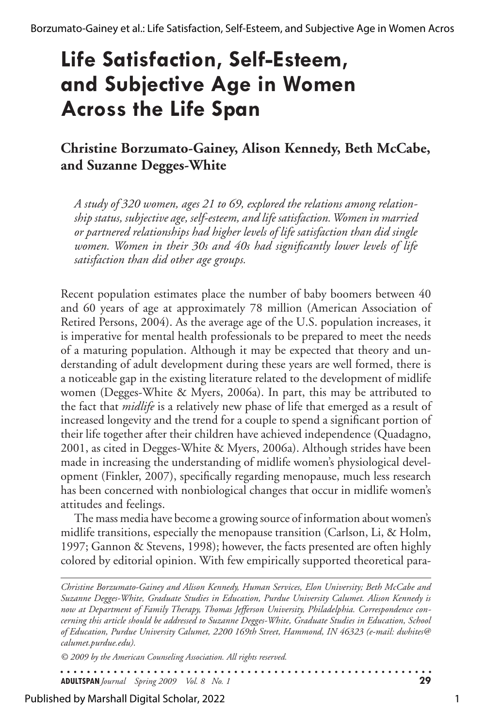# **Life Satisfaction, Self-Esteem, and Subjective Age in Women Across the Life Span**

# **Christine Borzumato-Gainey, Alison Kennedy, Beth McCabe, and Suzanne Degges-White**

*A study of 320 women, ages 21 to 69, explored the relations among relationship status, subjective age, self-esteem, and life satisfaction. Women in married or partnered relationships had higher levels of life satisfaction than did single women. Women in their 30s and 40s had significantly lower levels of life satisfaction than did other age groups.* 

Recent population estimates place the number of baby boomers between 40 and 60 years of age at approximately 78 million (American Association of Retired Persons, 2004). As the average age of the U.S. population increases, it is imperative for mental health professionals to be prepared to meet the needs of a maturing population. Although it may be expected that theory and understanding of adult development during these years are well formed, there is a noticeable gap in the existing literature related to the development of midlife women (Degges-White & Myers, 2006a). In part, this may be attributed to the fact that *midlife* is a relatively new phase of life that emerged as a result of increased longevity and the trend for a couple to spend a significant portion of their life together after their children have achieved independence (Quadagno, 2001, as cited in Degges-White & Myers, 2006a). Although strides have been made in increasing the understanding of midlife women's physiological development (Finkler, 2007), specifically regarding menopause, much less research has been concerned with nonbiological changes that occur in midlife women's attitudes and feelings.

The mass media have become a growing source of information about women's midlife transitions, especially the menopause transition (Carlson, Li, & Holm, 1997; Gannon & Stevens, 1998); however, the facts presented are often highly colored by editorial opinion. With few empirically supported theoretical para-

*Christine Borzumato-Gainey and Alison Kennedy, Human Services, Elon University; Beth McCabe and Suzanne Degges-White, Graduate Studies in Education, Purdue University Calumet. Alison Kennedy is now at Department of Family Therapy, Thomas Jefferson University, Philadelphia. Correspondence concerning this article should be addressed to Suzanne Degges-White, Graduate Studies in Education, School of Education, Purdue University Calumet, 2200 169th Street, Hammond, IN 46323 (e-mail: dwhites@ calumet.purdue.edu).* 

. . . . . . . . . . . . . . . . . .

*© 2009 by the American Counseling Association. All rights reserved.*

. . . . . . . . . . . . . . . . . . . **ADULTSPAN***Journal Spring 2009 Vol. 8 No. 1* **29**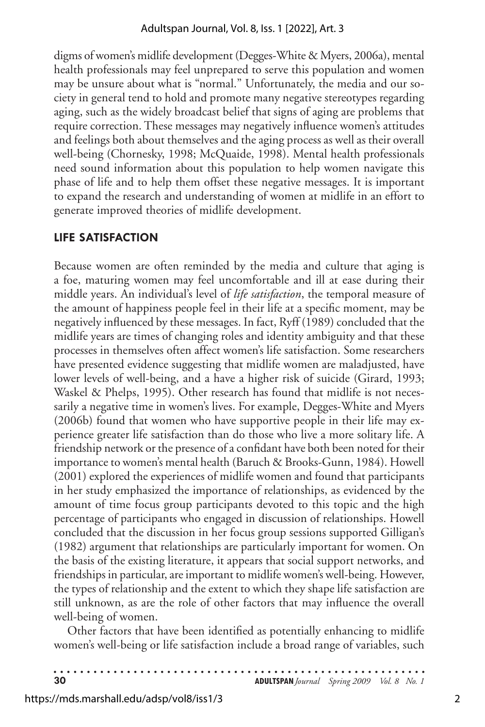digms of women's midlife development (Degges-White & Myers, 2006a), mental health professionals may feel unprepared to serve this population and women may be unsure about what is "normal." Unfortunately, the media and our society in general tend to hold and promote many negative stereotypes regarding aging, such as the widely broadcast belief that signs of aging are problems that require correction. These messages may negatively influence women's attitudes and feelings both about themselves and the aging process as well as their overall well-being (Chornesky, 1998; McQuaide, 1998). Mental health professionals need sound information about this population to help women navigate this phase of life and to help them offset these negative messages. It is important to expand the research and understanding of women at midlife in an effort to generate improved theories of midlife development.

# **Life Satisfaction**

Because women are often reminded by the media and culture that aging is a foe, maturing women may feel uncomfortable and ill at ease during their middle years. An individual's level of *life satisfaction*, the temporal measure of the amount of happiness people feel in their life at a specific moment, may be negatively influenced by these messages. In fact, Ryff (1989) concluded that the midlife years are times of changing roles and identity ambiguity and that these processes in themselves often affect women's life satisfaction. Some researchers have presented evidence suggesting that midlife women are maladjusted, have lower levels of well-being, and a have a higher risk of suicide (Girard, 1993; Waskel & Phelps, 1995). Other research has found that midlife is not necessarily a negative time in women's lives. For example, Degges-White and Myers (2006b) found that women who have supportive people in their life may experience greater life satisfaction than do those who live a more solitary life. A friendship network or the presence of a confidant have both been noted for their importance to women's mental health (Baruch & Brooks-Gunn, 1984). Howell (2001) explored the experiences of midlife women and found that participants in her study emphasized the importance of relationships, as evidenced by the amount of time focus group participants devoted to this topic and the high percentage of participants who engaged in discussion of relationships. Howell concluded that the discussion in her focus group sessions supported Gilligan's (1982) argument that relationships are particularly important for women. On the basis of the existing literature, it appears that social support networks, and friendships in particular, are important to midlife women's well-being. However, the types of relationship and the extent to which they shape life satisfaction are still unknown, as are the role of other factors that may influence the overall well-being of women.

Other factors that have been identified as potentially enhancing to midlife women's well-being or life satisfaction include a broad range of variables, such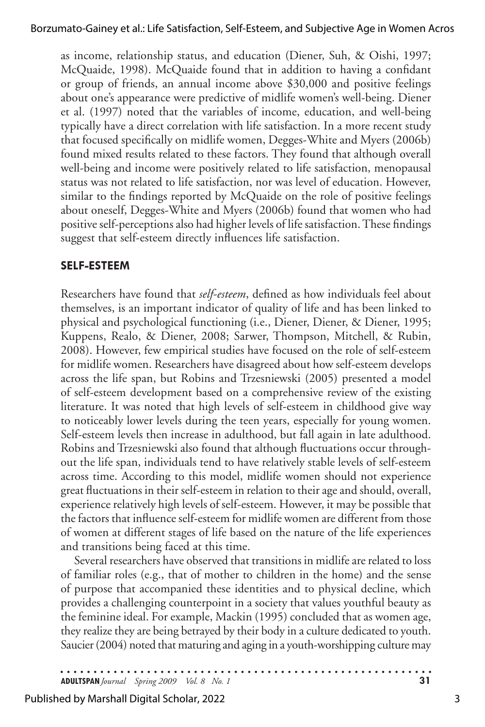as income, relationship status, and education (Diener, Suh, & Oishi, 1997; McQuaide, 1998). McQuaide found that in addition to having a confidant or group of friends, an annual income above \$30,000 and positive feelings about one's appearance were predictive of midlife women's well-being. Diener et al. (1997) noted that the variables of income, education, and well-being typically have a direct correlation with life satisfaction. In a more recent study that focused specifically on midlife women, Degges-White and Myers (2006b) found mixed results related to these factors. They found that although overall well-being and income were positively related to life satisfaction, menopausal status was not related to life satisfaction, nor was level of education. However, similar to the findings reported by McQuaide on the role of positive feelings about oneself, Degges-White and Myers (2006b) found that women who had positive self-perceptions also had higher levels of life satisfaction. These findings suggest that self-esteem directly influences life satisfaction.

# **Self-Esteem**

Researchers have found that *self-esteem*, defined as how individuals feel about themselves, is an important indicator of quality of life and has been linked to physical and psychological functioning (i.e., Diener, Diener, & Diener, 1995; Kuppens, Realo, & Diener, 2008; Sarwer, Thompson, Mitchell, & Rubin, 2008). However, few empirical studies have focused on the role of self-esteem for midlife women. Researchers have disagreed about how self-esteem develops across the life span, but Robins and Trzesniewski (2005) presented a model of self-esteem development based on a comprehensive review of the existing literature. It was noted that high levels of self-esteem in childhood give way to noticeably lower levels during the teen years, especially for young women. Self-esteem levels then increase in adulthood, but fall again in late adulthood. Robins and Trzesniewski also found that although fluctuations occur throughout the life span, individuals tend to have relatively stable levels of self-esteem across time. According to this model, midlife women should not experience great fluctuations in their self-esteem in relation to their age and should, overall, experience relatively high levels of self-esteem. However, it may be possible that the factors that influence self-esteem for midlife women are different from those of women at different stages of life based on the nature of the life experiences and transitions being faced at this time.

Several researchers have observed that transitions in midlife are related to loss of familiar roles (e.g., that of mother to children in the home) and the sense of purpose that accompanied these identities and to physical decline, which provides a challenging counterpoint in a society that values youthful beauty as the feminine ideal. For example, Mackin (1995) concluded that as women age, they realize they are being betrayed by their body in a culture dedicated to youth. Saucier (2004) noted that maturing and aging in a youth-worshipping culture may

**ADULTSPAN***Journal Spring 2009 Vol. 8 No. 1* **31**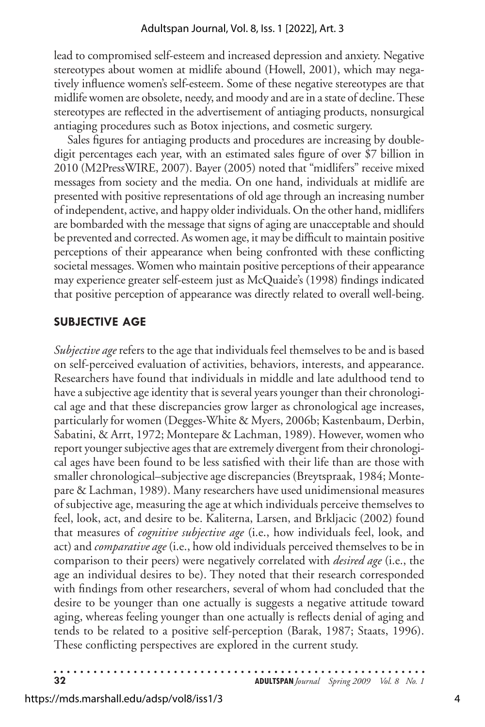lead to compromised self-esteem and increased depression and anxiety. Negative stereotypes about women at midlife abound (Howell, 2001), which may negatively influence women's self-esteem. Some of these negative stereotypes are that midlife women are obsolete, needy, and moody and are in a state of decline. These stereotypes are reflected in the advertisement of antiaging products, nonsurgical antiaging procedures such as Botox injections, and cosmetic surgery.

Sales figures for antiaging products and procedures are increasing by doubledigit percentages each year, with an estimated sales figure of over \$7 billion in 2010 (M2PressWIRE, 2007). Bayer (2005) noted that "midlifers" receive mixed messages from society and the media. On one hand, individuals at midlife are presented with positive representations of old age through an increasing number of independent, active, and happy older individuals. On the other hand, midlifers are bombarded with the message that signs of aging are unacceptable and should be prevented and corrected. Aswomen age, it may be difficult to maintain positive perceptions of their appearance when being confronted with these conflicting societal messages.Women who maintain positive perceptions of their appearance may experience greater self-esteem just as McQuaide's (1998) findings indicated that positive perception of appearance was directly related to overall well-being.

#### **Subjective Age**

*Subjective age* refers to the age that individuals feel themselves to be and is based on self-perceived evaluation of activities, behaviors, interests, and appearance. Researchers have found that individuals in middle and late adulthood tend to have a subjective age identity that is several years younger than their chronological age and that these discrepancies grow larger as chronological age increases, particularly for women (Degges-White & Myers, 2006b; Kastenbaum, Derbin, Sabatini, & Arrt, 1972; Montepare & Lachman, 1989). However, women who report younger subjective ages that are extremely divergent from their chronological ages have been found to be less satisfied with their life than are those with smaller chronological–subjective age discrepancies (Breytspraak, 1984; Montepare & Lachman, 1989). Many researchers have used unidimensional measures of subjective age, measuring the age at which individuals perceive themselves to feel, look, act, and desire to be. Kaliterna, Larsen, and Brkljacic (2002) found that measures of *cognitive subjective age* (i.e., how individuals feel, look, and act) and *comparative age* (i.e., how old individuals perceived themselves to be in comparison to their peers) were negatively correlated with *desired age* (i.e., the age an individual desires to be). They noted that their research corresponded with findings from other researchers, several of whom had concluded that the desire to be younger than one actually is suggests a negative attitude toward aging, whereas feeling younger than one actually is reflects denial of aging and tends to be related to a positive self-perception (Barak, 1987; Staats, 1996). These conflicting perspectives are explored in the current study.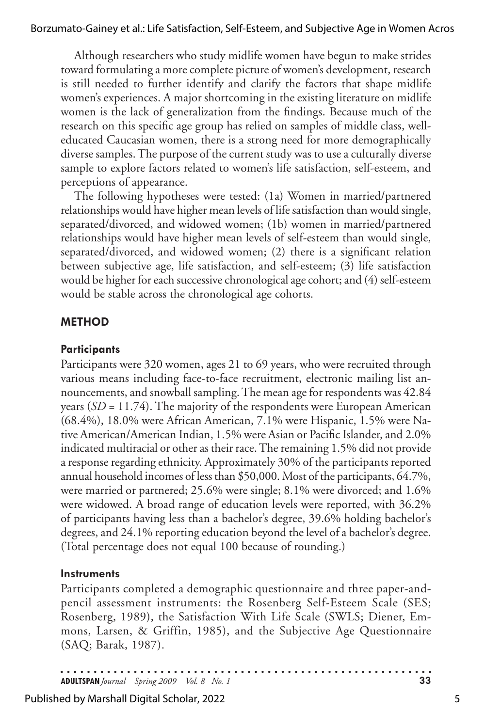#### Borzumato-Gainey et al.: Life Satisfaction, Self-Esteem, and Subjective Age in Women Acros

Although researchers who study midlife women have begun to make strides toward formulating a more complete picture of women's development, research is still needed to further identify and clarify the factors that shape midlife women's experiences. A major shortcoming in the existing literature on midlife women is the lack of generalization from the findings. Because much of the research on this specific age group has relied on samples of middle class, welleducated Caucasian women, there is a strong need for more demographically diverse samples. The purpose of the current study was to use a culturally diverse sample to explore factors related to women's life satisfaction, self-esteem, and perceptions of appearance.

The following hypotheses were tested: (1a) Women in married/partnered relationships would have higher mean levels of life satisfaction than would single, separated/divorced, and widowed women; (1b) women in married/partnered relationships would have higher mean levels of self-esteem than would single, separated/divorced, and widowed women; (2) there is a significant relation between subjective age, life satisfaction, and self-esteem; (3) life satisfaction would be higher for each successive chronological age cohort; and (4) self-esteem would be stable across the chronological age cohorts.

# **Method**

#### **Participants**

Participants were 320 women, ages 21 to 69 years, who were recruited through various means including face-to-face recruitment, electronic mailing list announcements, and snowball sampling. The mean age for respondents was 42.84 years (*SD* = 11.74). The majority of the respondents were European American (68.4%), 18.0% were African American, 7.1% were Hispanic, 1.5% were Native American/American Indian, 1.5% were Asian or Pacific Islander, and 2.0% indicated multiracial or other as their race. The remaining 1.5% did not provide a response regarding ethnicity. Approximately 30% of the participants reported annual household incomes of less than \$50,000. Most of the participants, 64.7%, were married or partnered; 25.6% were single; 8.1% were divorced; and 1.6% were widowed. A broad range of education levels were reported, with 36.2% of participants having less than a bachelor's degree, 39.6% holding bachelor's degrees, and 24.1% reporting education beyond the level of a bachelor's degree. (Total percentage does not equal 100 because of rounding.)

# **Instruments**

Participants completed a demographic questionnaire and three paper-andpencil assessment instruments: the Rosenberg Self-Esteem Scale (SES; Rosenberg, 1989), the Satisfaction With Life Scale (SWLS; Diener, Emmons, Larsen, & Griffin, 1985), and the Subjective Age Questionnaire (SAQ; Barak, 1987).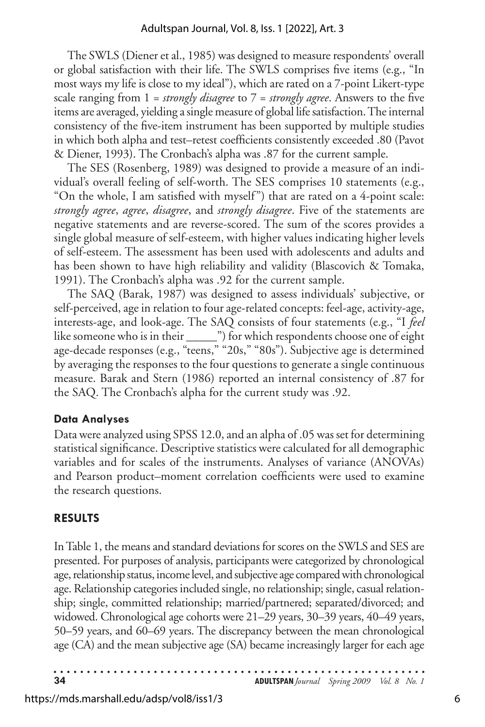The SWLS (Diener et al., 1985) was designed to measure respondents' overall or global satisfaction with their life. The SWLS comprises five items (e.g., "In most ways my life is close to my ideal"), which are rated on a 7-point Likert-type scale ranging from 1 = *strongly disagree* to 7 = *strongly agree*. Answers to the five items are averaged, yielding a single measure of global life satisfaction. The internal consistency of the five-item instrument has been supported by multiple studies in which both alpha and test–retest coefficients consistently exceeded .80 (Pavot & Diener, 1993). The Cronbach's alpha was .87 for the current sample.

The SES (Rosenberg, 1989) was designed to provide a measure of an individual's overall feeling of self-worth. The SES comprises 10 statements (e.g., "On the whole, I am satisfied with myself") that are rated on a 4-point scale: *strongly agree*, *agree*, *disagree*, and *strongly disagree*. Five of the statements are negative statements and are reverse-scored. The sum of the scores provides a single global measure of self-esteem, with higher values indicating higher levels of self-esteem. The assessment has been used with adolescents and adults and has been shown to have high reliability and validity (Blascovich & Tomaka, 1991). The Cronbach's alpha was .92 for the current sample.

The SAQ (Barak, 1987) was designed to assess individuals' subjective, or self-perceived, age in relation to four age-related concepts: feel-age, activity-age, interests-age, and look-age. The SAQ consists of four statements (e.g., "I *feel* like someone who is in their \_\_\_\_\_\_") for which respondents choose one of eight age-decade responses (e.g., "teens," "20s," "80s"). Subjective age is determined by averaging the responses to the four questions to generate a single continuous measure. Barak and Stern (1986) reported an internal consistency of .87 for the SAQ. The Cronbach's alpha for the current study was .92.

#### **Data Analyses**

Data were analyzed using SPSS 12.0, and an alpha of .05 was set for determining statistical significance. Descriptive statistics were calculated for all demographic variables and for scales of the instruments. Analyses of variance (ANOVAs) and Pearson product–moment correlation coefficients were used to examine the research questions.

#### **Results**

InTable 1, the means and standard deviations for scores on the SWLS and SES are presented. For purposes of analysis, participants were categorized by chronological age, relationship status, income level, and subjective age compared with chronological age. Relationship categories included single, no relationship; single, casual relationship; single, committed relationship; married/partnered; separated/divorced; and widowed. Chronological age cohorts were 21–29 years, 30–39 years, 40–49 years, 50–59 years, and 60–69 years. The discrepancy between the mean chronological age (CA) and the mean subjective age (SA) became increasingly larger for each age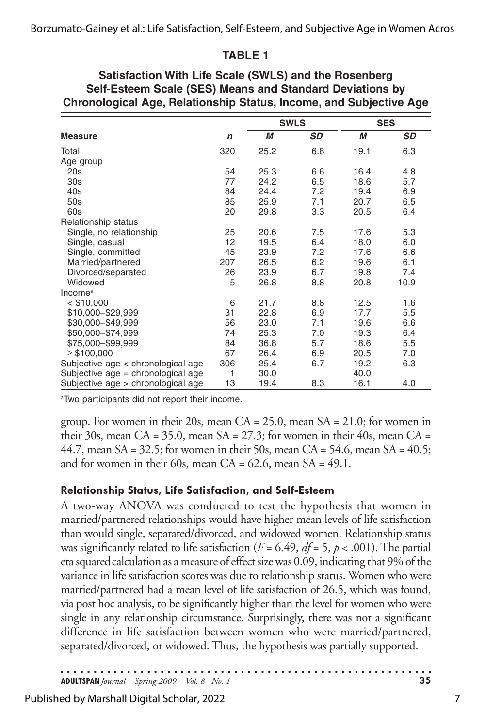# **TABLE 1**

| Chronological Age, Relationship Status, Income, and Subjective Age |     |             |           |            |      |
|--------------------------------------------------------------------|-----|-------------|-----------|------------|------|
|                                                                    |     | <b>SWLS</b> |           | <b>SES</b> |      |
| <b>Measure</b>                                                     | n   | М           | <b>SD</b> | М          | SD   |
| Total                                                              | 320 | 25.2        | 6.8       | 19.1       | 6.3  |
| Age group                                                          |     |             |           |            |      |
| 20s                                                                | 54  | 25.3        | 6.6       | 16.4       | 4.8  |
| 30s                                                                | 77  | 24.2        | 6.5       | 18.6       | 5.7  |
| 40s                                                                | 84  | 24.4        | 7.2       | 19.4       | 6.9  |
| 50s                                                                | 85  | 25.9        | 7.1       | 20.7       | 6.5  |
| 60s                                                                | 20  | 29.8        | 3.3       | 20.5       | 6.4  |
| Relationship status                                                |     |             |           |            |      |
| Single, no relationship                                            | 25  | 20.6        | 7.5       | 17.6       | 5.3  |
| Single, casual                                                     | 12  | 19.5        | 6.4       | 18.0       | 6.0  |
| Single, committed                                                  | 45  | 23.9        | 7.2       | 17.6       | 6.6  |
| Married/partnered                                                  | 207 | 26.5        | 6.2       | 19.6       | 6.1  |
| Divorced/separated                                                 | 26  | 23.9        | 6.7       | 19.8       | 7.4  |
| Widowed                                                            | 5   | 26.8        | 8.8       | 20.8       | 10.9 |
| Income <sup>a</sup>                                                |     |             |           |            |      |
| $<$ \$10,000                                                       | 6   | 21.7        | 8.8       | 12.5       | 1.6  |
| \$10,000 - \$29,999                                                | 31  | 22.8        | 6.9       | 17.7       | 5.5  |
| \$30,000 - \$49,999                                                | 56  | 23.0        | 7.1       | 19.6       | 6.6  |
| \$50,000 - \$74,999                                                | 74  | 25.3        | 7.0       | 19.3       | 6.4  |
| \$75,000-\$99,999                                                  | 84  | 36.8        | 5.7       | 18.6       | 5.5  |
| $\geq$ \$100,000                                                   | 67  | 26.4        | 6.9       | 20.5       | 7.0  |
| Subjective age < chronological age                                 | 306 | 25.4        | 6.7       | 19.2       | 6.3  |
| Subjective age = chronological age                                 | 1   | 30.0        |           | 40.0       |      |
| Subjective age > chronological age                                 | 13  | 19.4        | 8.3       | 16.1       | 4.0  |

#### **Satisfaction With Life Scale (SWLS) and the Rosenberg Self-Esteem Scale (SES) Means and Standard Deviations by Chronological Age, Relationship Status, Income, and Subjective Age**

a Two participants did not report their income.

group. For women in their 20s, mean  $CA = 25.0$ , mean  $SA = 21.0$ ; for women in their 30s, mean CA = 35.0, mean SA = 27.3; for women in their 40s, mean CA = 44.7, mean  $SA = 32.5$ ; for women in their 50s, mean  $CA = 54.6$ , mean  $SA = 40.5$ ; and for women in their 60s, mean  $CA = 62.6$ , mean  $SA = 49.1$ .

# **Relationship Status, Life Satisfaction, and Self-Esteem**

A two-way ANOVA was conducted to test the hypothesis that women in married/partnered relationships would have higher mean levels of life satisfaction than would single, separated/divorced, and widowed women. Relationship status was significantly related to life satisfaction ( $F = 6.49$ ,  $df = 5$ ,  $p < .001$ ). The partial eta squared calculation as a measure of effect size was 0.09, indicating that 9% of the variance in life satisfaction scores was due to relationship status. Women who were married/partnered had a mean level of life satisfaction of 26.5, which was found, via post hoc analysis, to be significantly higher than the level for women who were single in any relationship circumstance. Surprisingly, there was not a significant difference in life satisfaction between women who were married/partnered, separated/divorced, or widowed. Thus, the hypothesis was partially supported.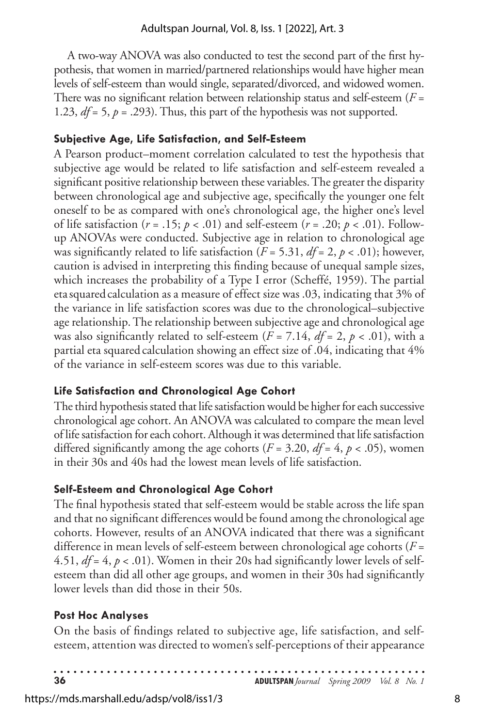A two-way ANOVA was also conducted to test the second part of the first hypothesis, that women in married/partnered relationships would have higher mean levels of self-esteem than would single, separated/divorced, and widowed women. There was no significant relation between relationship status and self-esteem (*F* = 1.23, *df* = 5, *p* = .293). Thus, this part of the hypothesis was not supported.

# **Subjective Age, Life Satisfaction, and Self-Esteem**

A Pearson product–moment correlation calculated to test the hypothesis that subjective age would be related to life satisfaction and self-esteem revealed a significant positive relationship between these variables. The greater the disparity between chronological age and subjective age, specifically the younger one felt oneself to be as compared with one's chronological age, the higher one's level of life satisfaction  $(r = .15; p < .01)$  and self-esteem  $(r = .20; p < .01)$ . Followup ANOVAs were conducted. Subjective age in relation to chronological age was significantly related to life satisfaction ( $F = 5.31$ ,  $df = 2$ ,  $p < .01$ ); however, caution is advised in interpreting this finding because of unequal sample sizes, which increases the probability of a Type I error (Scheffé, 1959). The partial eta squared calculation as a measure of effect size was .03, indicating that 3% of the variance in life satisfaction scores was due to the chronological–subjective age relationship. The relationship between subjective age and chronological age was also significantly related to self-esteem  $(F = 7.14, df = 2, p < .01)$ , with a partial eta squared calculation showing an effect size of .04, indicating that 4% of the variance in self-esteem scores was due to this variable.

# **Life Satisfaction and Chronological Age Cohort**

The third hypothesis stated that life satisfaction would be higher for each successive chronological age cohort. An ANOVA was calculated to compare the mean level of lifesatisfaction foreach cohort. Although itwas determined that lifesatisfaction differed significantly among the age cohorts  $(F = 3.20, df = 4, p < .05)$ , women in their 30s and 40s had the lowest mean levels of life satisfaction.

# **Self-Esteem and Chronological Age Cohort**

The final hypothesis stated that self-esteem would be stable across the life span and that no significant differences would befound among the chronological age cohorts. However, results of an ANOVA indicated that there was a significant difference in mean levels of self-esteem between chronological age cohorts (*F* = 4.51,  $df = 4$ ,  $p < .01$ ). Women in their 20s had significantly lower levels of selfesteem than did all other age groups, and women in their 30s had significantly lower levels than did those in their 50s.

#### **Post Hoc Analyses**

On the basis of findings related to subjective age, life satisfaction, and selfesteem, attention was directed to women's self-perceptions of their appearance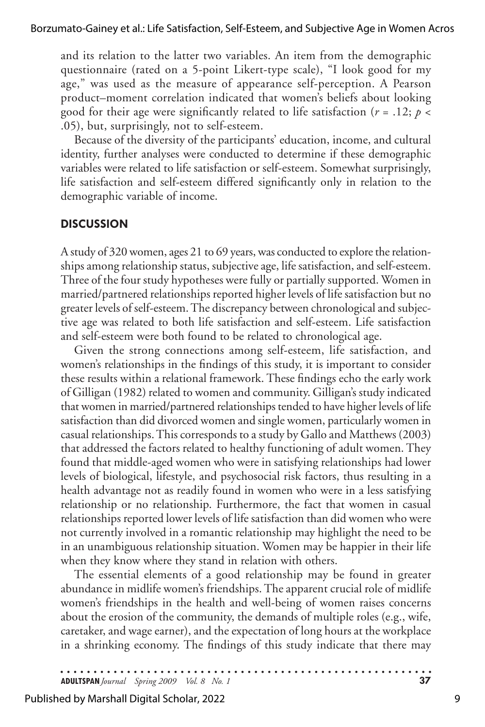and its relation to the latter two variables. An item from the demographic questionnaire (rated on a 5-point Likert-type scale), "I look good for my age," was used as the measure of appearance self-perception. A Pearson product–moment correlation indicated that women's beliefs about looking good for their age were significantly related to life satisfaction ( $r = .12$ ;  $p <$ .05), but, surprisingly, not to self-esteem.

Because of the diversity of the participants' education, income, and cultural identity, further analyses were conducted to determine if these demographic variables were related to life satisfaction or self-esteem. Somewhat surprisingly, life satisfaction and self-esteem differed significantly only in relation to the demographic variable of income.

#### **Discussion**

A study of 320 women, ages 21 to 69 years, was conducted to explore the relationships among relationship status, subjective age, life satisfaction, and self-esteem. Three of the four study hypotheses were fully or partially supported. Women in married/partnered relationships reported higher levels of life satisfaction but no greater levels of self-esteem.The discrepancy between chronological and subjective age was related to both life satisfaction and self-esteem. Life satisfaction and self-esteem were both found to be related to chronological age.

Given the strong connections among self-esteem, life satisfaction, and women's relationships in the findings of this study, it is important to consider these results within a relational framework. These findings echo the early work of Gilligan (1982) related to women and community. Gilligan's study indicated that women in married/partnered relationships tended to have higher levels of life satisfaction than did divorced women and single women, particularly women in casual relationships.This corresponds to a study by Gallo and Matthews (2003) that addressed the factors related to healthy functioning of adult women. They found that middle-aged women who were in satisfying relationships had lower levels of biological, lifestyle, and psychosocial risk factors, thus resulting in a health advantage not as readily found in women who were in a less satisfying relationship or no relationship. Furthermore, the fact that women in casual relationships reported lower levels of lifesatisfaction than did women who were not currently involved in a romantic relationship may highlight the need to be in an unambiguous relationship situation. Women may be happier in their life when they know where they stand in relation with others.

The essential elements of a good relationship may be found in greater abundance in midlife women's friendships.The apparent crucial role of midlife women's friendships in the health and well-being of women raises concerns about the erosion of the community, the demands of multiple roles (e.g., wife, caretaker, and wage earner), and the expectation of long hours at the workplace in a shrinking economy. The findings of this study indicate that there may

**ADULTSPAN***Journal Spring 2009 Vol. 8 No. 1* **37**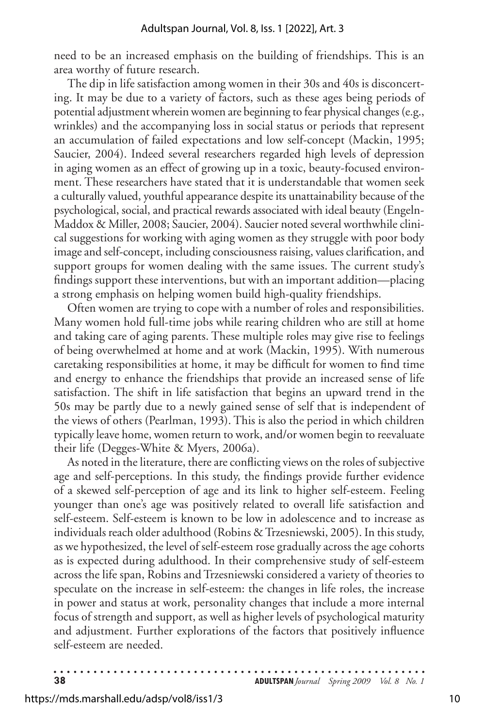need to be an increased emphasis on the building of friendships. This is an area worthy of future research.

The dip in life satisfaction among women in their 30s and 40s is disconcerting. It may be due to a variety of factors, such as these ages being periods of potential adjustment wherein women are beginning to fear physical changes (e.g., wrinkles) and the accompanying loss in social status or periods that represent an accumulation of failed expectations and low self-concept (Mackin, 1995; Saucier, 2004). Indeed several researchers regarded high levels of depression in aging women as an effect of growing up in a toxic, beauty-focused environment. These researchers have stated that it is understandable that women seek a culturally valued, youthful appearance despite its unattainability because of the psychological, social, and practical rewards associated with ideal beauty (Engeln-Maddox & Miller, 2008; Saucier, 2004). Saucier noted several worthwhile clinical suggestions for working with aging women as they struggle with poor body image and self-concept, including consciousness raising, values clarification, and support groups for women dealing with the same issues. The current study's findings support these interventions, but with an important addition—placing a strong emphasis on helping women build high-quality friendships.

Often women are trying to cope with a number of roles and responsibilities. Many women hold full-time jobs while rearing children who are still at home and taking care of aging parents. These multiple roles may give rise to feelings of being overwhelmed at home and at work (Mackin, 1995). With numerous caretaking responsibilities at home, it may be difficult for women to find time and energy to enhance the friendships that provide an increased sense of life satisfaction. The shift in life satisfaction that begins an upward trend in the 50s may be partly due to a newly gained sense of self that is independent of the views of others (Pearlman, 1993). This is also the period in which children typically leave home, women return to work, and/or women begin to reevaluate their life (Degges-White & Myers, 2006a).

As noted in the literature, there are conflicting views on the roles of subjective age and self-perceptions. In this study, the findings provide further evidence of a skewed self-perception of age and its link to higher self-esteem. Feeling younger than one's age was positively related to overall life satisfaction and self-esteem. Self-esteem is known to be low in adolescence and to increase as individuals reach older adulthood (Robins & Trzesniewski, 2005). In this study, as we hypothesized, thelevel of self-esteem rose gradually across the age cohorts as is expected during adulthood. In their comprehensive study of self-esteem across the life span, Robins and Trzesniewski considered a variety of theories to speculate on the increase in self-esteem: the changes in life roles, the increase in power and status at work, personality changes that include a more internal focus of strength and support, as well as higher levels of psychological maturity and adjustment. Further explorations of the factors that positively influence self-esteem are needed.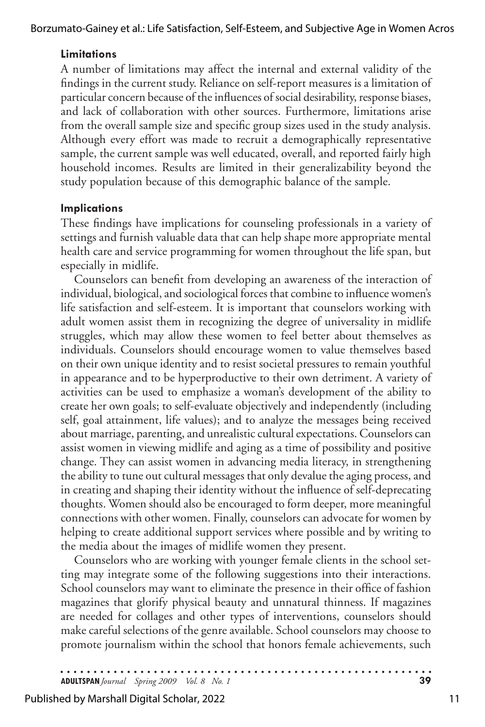Borzumato-Gainey et al.: Life Satisfaction, Self-Esteem, and Subjective Age in Women Acros

# **Limitations**

A number of limitations may affect the internal and external validity of the findings in the current study. Reliance on self-report measures is a limitation of particular concern because of the influences of social desirability, response biases, and lack of collaboration with other sources. Furthermore, limitations arise from the overall sample size and specific group sizes used in the study analysis. Although every effort was made to recruit a demographically representative sample, the current sample was well educated, overall, and reported fairly high household incomes. Results are limited in their generalizability beyond the study population because of this demographic balance of the sample.

#### **Implications**

These findings have implications for counseling professionals in a variety of settings and furnish valuable data that can help shape more appropriate mental health care and service programming for women throughout the life span, but especially in midlife.

Counselors can benefit from developing an awareness of the interaction of individual, biological, and sociological forces that combine to influence women's life satisfaction and self-esteem. It is important that counselors working with adult women assist them in recognizing the degree of universality in midlife struggles, which may allow these women to feel better about themselves as individuals. Counselors should encourage women to value themselves based on their own unique identity and to resist societal pressures to remain youthful in appearance and to be hyperproductive to their own detriment. A variety of activities can be used to emphasize a woman's development of the ability to create her own goals; to self-evaluate objectively and independently (including self, goal attainment, life values); and to analyze the messages being received about marriage, parenting, and unrealistic cultural expectations. Counselors can assist women in viewing midlife and aging as a time of possibility and positive change. They can assist women in advancing media literacy, in strengthening the ability to tune out cultural messages that only devalue the aging process, and in creating and shaping their identity without the influence of self-deprecating thoughts. Women should also be encouraged to form deeper, more meaningful connections with other women. Finally, counselors can advocate for women by helping to create additional support services where possible and by writing to the media about the images of midlife women they present.

Counselors who are working with younger female clients in the school setting may integrate some of the following suggestions into their interactions. School counselors may want to eliminate the presence in their office of fashion magazines that glorify physical beauty and unnatural thinness. If magazines are needed for collages and other types of interventions, counselors should make careful selections of the genre available. School counselors may choose to promote journalism within the school that honors female achievements, such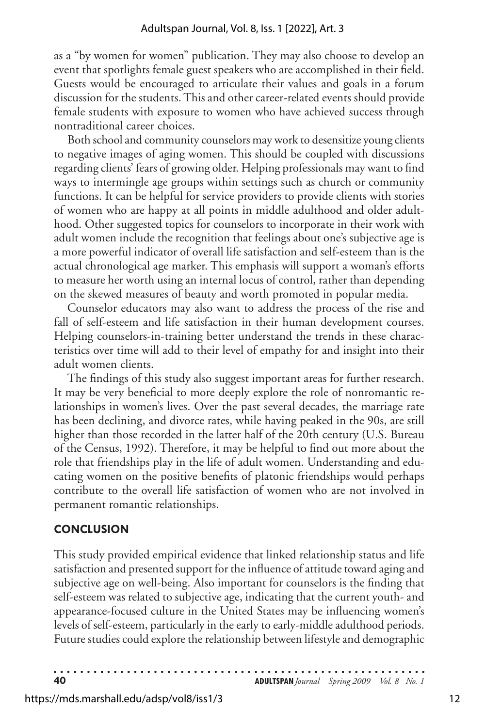as a "by women for women" publication. They may also choose to develop an event that spotlights female guest speakers who are accomplished in their field. Guests would be encouraged to articulate their values and goals in a forum discussion for the students. This and other career-related events should provide female students with exposure to women who have achieved success through nontraditional career choices.

Both school and community counselors may work to desensitize young clients to negative images of aging women. This should be coupled with discussions regarding clients' fears of growing older. Helping professionals may want to find ways to intermingle age groups within settings such as church or community functions. It can be helpful for service providers to provide clients with stories of women who are happy at all points in middle adulthood and older adulthood. Other suggested topics for counselors to incorporate in their work with adult women include the recognition that feelings about one's subjective age is a more powerful indicator of overall life satisfaction and self-esteem than is the actual chronological age marker. This emphasis will support a woman's efforts to measure her worth using an internal locus of control, rather than depending on the skewed measures of beauty and worth promoted in popular media.

Counselor educators may also want to address the process of the rise and fall of self-esteem and life satisfaction in their human development courses. Helping counselors-in-training better understand the trends in these characteristics over time will add to their level of empathy for and insight into their adult women clients.

The findings of this study also suggest important areas for further research. It may be very beneficial to more deeply explore the role of nonromantic relationships in women's lives. Over the past several decades, the marriage rate has been declining, and divorce rates, while having peaked in the 90s, are still higher than those recorded in the latter half of the 20th century (U.S. Bureau of the Census, 1992). Therefore, it may be helpful to find out more about the role that friendships play in the life of adult women. Understanding and educating women on the positive benefits of platonic friendships would perhaps contribute to the overall life satisfaction of women who are not involved in permanent romantic relationships.

# **Conclusion**

This study provided empirical evidence that linked relationship status and life satisfaction and presented support for the influence of attitude toward aging and subjective age on well-being. Also important for counselors is the finding that self-esteem was related to subjective age, indicating that the current youth- and appearance-focused culture in the United States may be influencing women's levels of self-esteem, particularly in the early to early-middle adulthood periods. Future studies could explore the relationship between lifestyle and demographic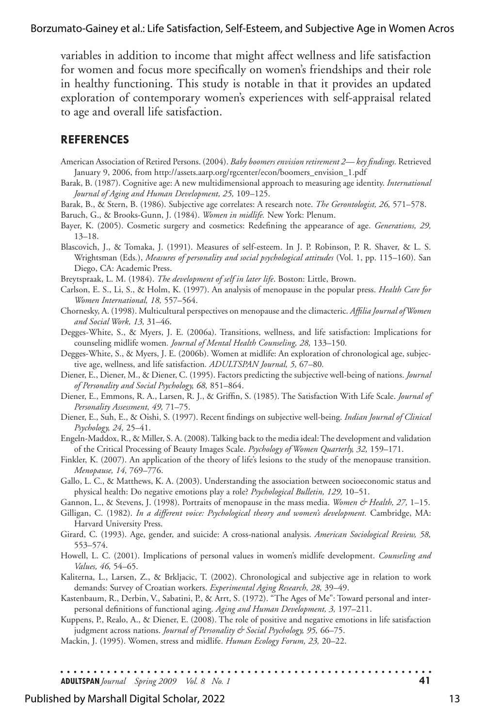#### Borzumato-Gainey et al.: Life Satisfaction, Self-Esteem, and Subjective Age in Women Acros

variables in addition to income that might affect wellness and life satisfaction for women and focus more specifically on women's friendships and their role in healthy functioning. This study is notable in that it provides an updated exploration of contemporary women's experiences with self-appraisal related to age and overall life satisfaction.

#### **References**

- American Association of Retired Persons. (2004). *Baby boomers envision retirement 2— key findings.* Retrieved January 9, 2006, from http://assets.aarp.org/rgcenter/econ/boomers\_envision\_1.pdf
- Barak, B. (1987). Cognitive age: A new multidimensional approach to measuring age identity. *International Journal of Aging and Human Development, 25,* 109–125.
- Barak, B., & Stern, B. (1986). Subjective age correlates: A research note. *The Gerontologist, 26,* 571–578.
- Baruch, G., & Brooks-Gunn, J. (1984). *Women in midlife.* New York: Plenum.
- Bayer, K. (2005). Cosmetic surgery and cosmetics: Redefining the appearance of age. *Generations, 29,* 13–18.
- Blascovich, J., & Tomaka, J. (1991). Measures of self-esteem. In J. P. Robinson, P. R. Shaver, & L. S. Wrightsman (Eds*.*), *Measures of personality and social psychological attitudes* (Vol. 1, pp. 115–160). San Diego, CA: Academic Press.
- Breytspraak, L. M. (1984). *The development of self in later life*. Boston: Little, Brown.
- Carlson, E. S., Li, S., & Holm, K. (1997). An analysis of menopause in the popular press. *Health Care for Women International, 18,* 557–564.
- Chornesky, A. (1998). Multicultural perspectives on menopause and the climacteric. *Affilia Journal of Women and Social Work, 13,* 31–46.
- Degges-White, S., & Myers, J. E. (2006a). Transitions, wellness, and life satisfaction: Implications for counseling midlife women*. Journal of Mental Health Counseling, 28,* 133–150*.*
- Degges-White, S., & Myers, J. E. (2006b). Women at midlife: An exploration of chronological age, subjective age, wellness, and life satisfaction*. ADULTSPAN Journal, 5,* 67–80*.*
- Diener, E., Diener, M., & Diener, C. (1995). Factors predicting the subjective well-being of nations. *Journal of Personality and Social Psychology, 68,* 851–864.
- Diener, E., Emmons, R. A., Larsen, R. J., & Griffin, S. (1985). The Satisfaction With Life Scale. *Journal of Personality Assessment, 49,* 71–75.
- Diener, E., Suh, E., & Oishi, S. (1997). Recent findings on subjective well-being. *Indian Journal of Clinical Psychology, 24,* 25–41.
- Engeln-Maddox, R., & Miller, S. A. (2008).Talking back to the media ideal:The development and validation of the Critical Processing of Beauty Images Scale. *Psychology of Women Quarterly, 32,* 159–171.
- Finkler, K. (2007). An application of the theory of life's lesions to the study of the menopause transition. *Menopause, 14,* 769–776.
- Gallo, L. C., & Matthews, K. A. (2003). Understanding the association between socioeconomic status and physical health: Do negative emotions play a role? *Psychological Bulletin, 129,* 10–51.

Gannon, L., & Stevens, J. (1998). Portraits of menopause in the mass media. *Women & Health, 27,* 1–15.

Gilligan, C. (1982). *In a different voice: Psychological theory and women's development.* Cambridge, MA: Harvard University Press.

- Girard, C. (1993). Age, gender, and suicide: A cross-national analysis. *American Sociological Review, 58,* 553–574.
- Howell, L. C. (2001). Implications of personal values in women's midlife development. *Counseling and Values, 46,* 54–65.
- Kaliterna, L., Larsen, Z., & Brkljacic, T. (2002). Chronological and subjective age in relation to work demands: Survey of Croatian workers. *Experimental Aging Research, 28,* 39–49.
- Kastenbaum, R., Derbin, V., Sabatini, P., & Arrt, S. (1972). "The Ages of Me": Toward personal and interpersonal definitions of functional aging. *Aging and Human Development, 3,* 197–211.
- Kuppens, P., Realo, A., & Diener, E. (2008). The role of positive and negative emotions in life satisfaction judgment across nations. *Journal of Personality & Social Psychology, 95,* 66–75.

Mackin, J. (1995). Women, stress and midlife. *Human Ecology Forum, 23,* 20–22.

. . . . . . . . . . . . . . . . . . **ADULTSPAN***Journal Spring 2009 Vol. 8 No. 1* **41**